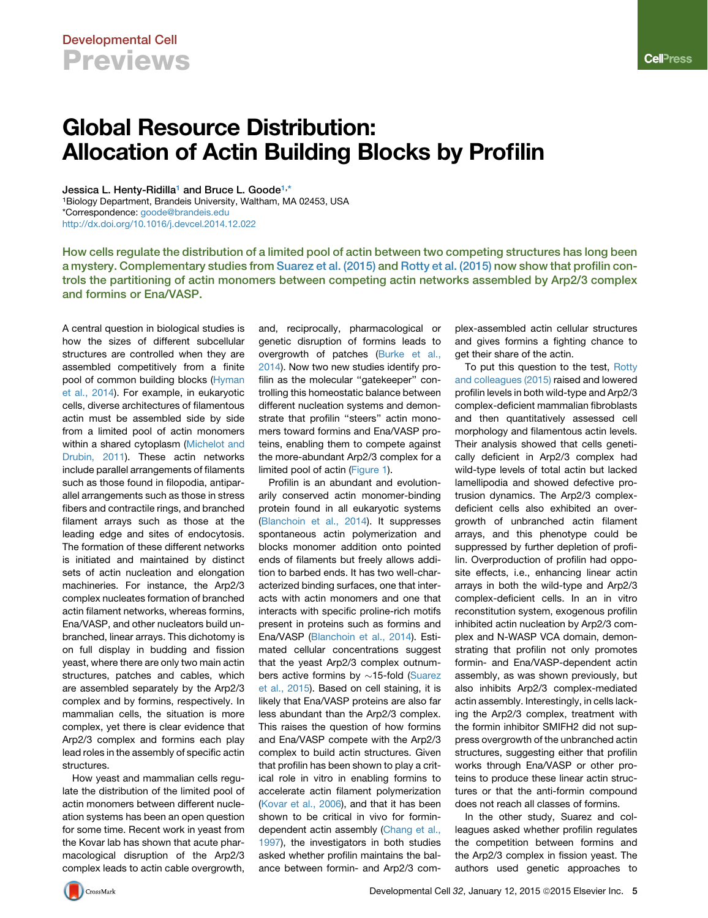## Developmental Cell Previews

# Global Resource Distribution: Allocation of Actin Building Blocks by Profilin

<span id="page-0-1"></span><span id="page-0-0"></span>Jessica L. Henty-Ridilla<sup>[1](#page-0-0)</sup> and Bruce L. Goode<sup>1,[\\*](#page-0-1)</sup> 1Biology Department, Brandeis University, Waltham, MA 02453, USA \*Correspondence: [goode@brandeis.edu](mailto:goode@brandeis.edu) <http://dx.doi.org/10.1016/j.devcel.2014.12.022>

How cells regulate the distribution of a limited pool of actin between two competing structures has long been a mystery. Complementary studies from [Suarez et al. \(2015\)](#page-1-0) and [Rotty et al. \(2015\)](#page-1-1) now show that profilin controls the partitioning of actin monomers between competing actin networks assembled by Arp2/3 complex and formins or Ena/VASP.

A central question in biological studies is how the sizes of different subcellular structures are controlled when they are assembled competitively from a finite pool of common building blocks ([Hyman](#page-1-2) [et al., 2014](#page-1-2)). For example, in eukaryotic cells, diverse architectures of filamentous actin must be assembled side by side from a limited pool of actin monomers within a shared cytoplasm ([Michelot and](#page-1-3) [Drubin, 2011](#page-1-3)). These actin networks include parallel arrangements of filaments such as those found in filopodia, antiparallel arrangements such as those in stress fibers and contractile rings, and branched filament arrays such as those at the leading edge and sites of endocytosis. The formation of these different networks is initiated and maintained by distinct sets of actin nucleation and elongation machineries. For instance, the Arp2/3 complex nucleates formation of branched actin filament networks, whereas formins, Ena/VASP, and other nucleators build unbranched, linear arrays. This dichotomy is on full display in budding and fission yeast, where there are only two main actin structures, patches and cables, which are assembled separately by the Arp2/3 complex and by formins, respectively. In mammalian cells, the situation is more complex, yet there is clear evidence that Arp2/3 complex and formins each play lead roles in the assembly of specific actin structures.

How yeast and mammalian cells regulate the distribution of the limited pool of actin monomers between different nucleation systems has been an open question for some time. Recent work in yeast from the Kovar lab has shown that acute pharmacological disruption of the Arp2/3 complex leads to actin cable overgrowth, and, reciprocally, pharmacological or genetic disruption of formins leads to overgrowth of patches [\(Burke et al.,](#page-1-4) [2014](#page-1-4)). Now two new studies identify profilin as the molecular ''gatekeeper'' controlling this homeostatic balance between different nucleation systems and demonstrate that profilin ''steers'' actin monomers toward formins and Ena/VASP proteins, enabling them to compete against the more-abundant Arp2/3 complex for a limited pool of actin [\(Figure 1](#page-1-5)).

Profilin is an abundant and evolutionarily conserved actin monomer-binding protein found in all eukaryotic systems ([Blanchoin et al., 2014\)](#page-1-6). It suppresses spontaneous actin polymerization and blocks monomer addition onto pointed ends of filaments but freely allows addition to barbed ends. It has two well-characterized binding surfaces, one that interacts with actin monomers and one that interacts with specific proline-rich motifs present in proteins such as formins and Ena/VASP [\(Blanchoin et al., 2014\)](#page-1-6). Estimated cellular concentrations suggest that the yeast Arp2/3 complex outnumbers active formins by  $\sim$ 15-fold ([Suarez](#page-1-0) [et al., 2015\)](#page-1-0). Based on cell staining, it is likely that Ena/VASP proteins are also far less abundant than the Arp2/3 complex. This raises the question of how formins and Ena/VASP compete with the Arp2/3 complex to build actin structures. Given that profilin has been shown to play a critical role in vitro in enabling formins to accelerate actin filament polymerization ([Kovar et al., 2006\)](#page-1-7), and that it has been shown to be critical in vivo for formindependent actin assembly ([Chang et al.,](#page-1-8) [1997](#page-1-8)), the investigators in both studies asked whether profilin maintains the balance between formin- and Arp2/3 complex-assembled actin cellular structures and gives formins a fighting chance to get their share of the actin.

To put this question to the test, [Rotty](#page-1-1) [and colleagues \(2015\)](#page-1-1) raised and lowered profilin levels in both wild-type and Arp2/3 complex-deficient mammalian fibroblasts and then quantitatively assessed cell morphology and filamentous actin levels. Their analysis showed that cells genetically deficient in Arp2/3 complex had wild-type levels of total actin but lacked lamellipodia and showed defective protrusion dynamics. The Arp2/3 complexdeficient cells also exhibited an overgrowth of unbranched actin filament arrays, and this phenotype could be suppressed by further depletion of profilin. Overproduction of profilin had opposite effects, i.e., enhancing linear actin arrays in both the wild-type and Arp2/3 complex-deficient cells. In an in vitro reconstitution system, exogenous profilin inhibited actin nucleation by Arp2/3 complex and N-WASP VCA domain, demonstrating that profilin not only promotes formin- and Ena/VASP-dependent actin assembly, as was shown previously, but also inhibits Arp2/3 complex-mediated actin assembly. Interestingly, in cells lacking the Arp2/3 complex, treatment with the formin inhibitor SMIFH2 did not suppress overgrowth of the unbranched actin structures, suggesting either that profilin works through Ena/VASP or other proteins to produce these linear actin structures or that the anti-formin compound does not reach all classes of formins.

In the other study, Suarez and colleagues asked whether profilin regulates the competition between formins and the Arp2/3 complex in fission yeast. The authors used genetic approaches to